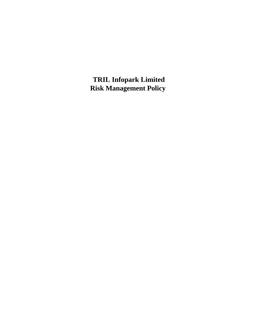**TRIL Infopark Limited Risk Management Policy**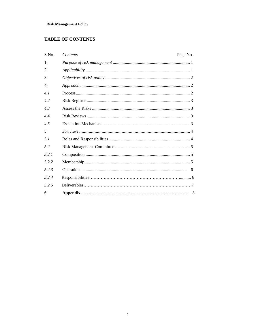# **TABLE OF CONTENTS**

| S.No. | Contents | Page No. |   |
|-------|----------|----------|---|
| 1.    |          |          |   |
| 2.    |          |          |   |
| 3.    |          |          |   |
| 4.    |          |          |   |
| 4.1   |          |          |   |
| 4.2   |          |          |   |
| 4.3   |          |          |   |
| 44    |          |          |   |
| 45    |          |          |   |
| 5     |          |          |   |
| 51    |          |          |   |
| 52    |          |          |   |
| 521   |          |          |   |
| 522   |          |          |   |
| 5.2.3 |          |          | 6 |
| 524   |          |          |   |
| 5.2.5 |          |          |   |
| 6     |          |          | 8 |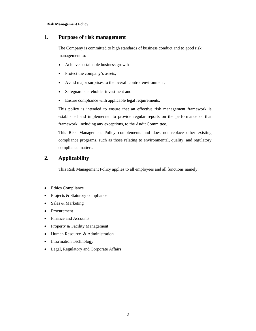# **1. Purpose of risk management**

The Company is committed to high standards of business conduct and to good risk management to:

- Achieve sustainable business growth
- Protect the company's assets,
- Avoid major surprises to the overall control environment,
- Safeguard shareholder investment and
- Ensure compliance with applicable legal requirements.

This policy is intended to ensure that an effective risk management framework is established and implemented to provide regular reports on the performance of that framework, including any exceptions, to the Audit Committee.

This Risk Management Policy complements and does not replace other existing compliance programs, such as those relating to environmental, quality, and regulatory compliance matters.

# **2. Applicability**

This Risk Management Policy applies to all employees and all functions namely:

- Ethics Compliance
- Projects & Statutory compliance
- Sales & Marketing
- Procurement
- Finance and Accounts
- Property & Facility Management
- Human Resource & Administration
- Information Technology
- Legal, Regulatory and Corporate Affairs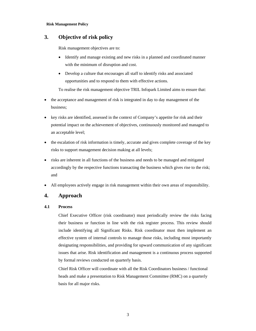# **3. Objective of risk policy**

Risk management objectives are to:

- Identify and manage existing and new risks in a planned and coordinated manner with the minimum of disruption and cost.
- Develop a culture that encourages all staff to identify risks and associated opportunities and to respond to them with effective actions.

To realise the risk management objective TRIL Infopark Limited aims to ensure that:

- the acceptance and management of risk is integrated in day to day management of the business;
- key risks are identified, assessed in the context of Company's appetite for risk and their potential impact on the achievement of objectives, continuously monitored and managed to an acceptable level;
- the escalation of risk information is timely, accurate and gives complete coverage of the key risks to support management decision making at all levels;
- risks are inherent in all functions of the business and needs to be managed and mitigated accordingly by the respective functions transacting the business which gives rise to the risk; and
- All employees actively engage in risk management within their own areas of responsibility.

# **4. Approach**

## **4.1 Process**

Chief Executive Officer (risk coordinator) must periodically review the risks facing their business or function in line with the risk register process. This review should include identifying all Significant Risks. Risk coordinator must then implement an effective system of internal controls to manage those risks, including most importantly designating responsibilities, and providing for upward communication of any significant issues that arise. Risk identification and management is a continuous process supported by formal reviews conducted on quarterly basis.

Chief Risk Officer will coordinate with all the Risk Coordinators business / functional heads and make a presentation to Risk Management Committee (RMC) on a quarterly basis for all major risks.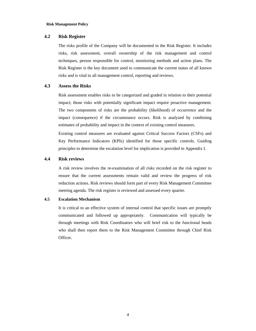## **4.2 Risk Register**

The risks profile of the Company will be documented in the Risk Register. It includes risks, risk assessment, overall ownership of the risk management and control techniques, person responsible for control, monitoring methods and action plans. The Risk Register is the key document used to communicate the current status of all known risks and is vital to all management control, reporting and reviews.

## **4.3 Assess the Risks**

Risk assessment enables risks to be categorized and graded in relation to their potential impact; those risks with potentially significant impact require proactive management. The two components of risks are the probability (likelihood) of occurrence and the impact (consequence) if the circumstance occurs. Risk is analyzed by combining estimates of probability and impact in the context of existing control measures.

Existing control measures are evaluated against Critical Success Factors (CSFs) and Key Performance Indicators (KPIs) identified for those specific controls. Guiding principles to determine the escalation level for implication is provided in Appendix I.

## **4.4 Risk reviews**

A risk review involves the re-examination of all risks recorded on the risk register to ensure that the current assessments remain valid and review the progress of risk reduction actions. Risk reviews should form part of every Risk Management Committee meeting agenda. The risk register is reviewed and assessed every quarter.

## **4.5 Escalation Mechanism**

It is critical to an effective system of internal control that specific issues are promptly communicated and followed up appropriately. Communication will typically be through meetings with Risk Coordinators who will brief risk to the functional heads who shall then report them to the Risk Management Committee through Chief Risk Officer.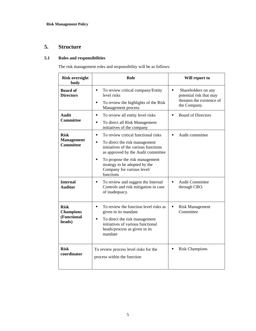# **5. Structure**

# **5.1 Roles and responsibilities**

The risk management roles and responsibility will be as follows:

| <b>Risk oversight</b><br>body                            | Role                                                                                                                                                                                                                                                                                                 | Will report to                                                                                                |  |
|----------------------------------------------------------|------------------------------------------------------------------------------------------------------------------------------------------------------------------------------------------------------------------------------------------------------------------------------------------------------|---------------------------------------------------------------------------------------------------------------|--|
| <b>Board of</b><br><b>Directors</b>                      | To review critical company/Entity<br>$\blacksquare$<br>level risks<br>To review the highlights of the Risk<br>Е<br>Management process                                                                                                                                                                | $\blacksquare$<br>Shareholders on any<br>potential risk that may<br>threaten the existence of<br>the Company. |  |
| Audit<br><b>Committee</b>                                | To review all entity level risks<br>П<br>To direct all Risk Management<br>$\blacksquare$<br>initiatives of the company                                                                                                                                                                               | <b>Board of Directors</b><br>$\blacksquare$                                                                   |  |
| <b>Risk</b><br><b>Management</b><br><b>Committee</b>     | To review critical functional risks<br>$\blacksquare$<br>To direct the risk management<br>$\blacksquare$<br>initiatives of the various functions<br>as approved by the Audit committee<br>To propose the risk management<br>strategy to be adopted by the<br>Company for various level/<br>functions | Audit committee<br>$\blacksquare$                                                                             |  |
| <b>Internal</b><br><b>Auditor</b>                        | To review and suggest the Internal<br>$\blacksquare$<br>Controls and risk mitigation in case<br>of inadequacy.                                                                                                                                                                                       | <b>Audit Committee</b><br>$\blacksquare$<br>through CRO.                                                      |  |
| <b>Risk</b><br><b>Champions</b><br>(Functional<br>heads) | To review the function level risks as<br>$\blacksquare$<br>given in its mandate<br>To direct the risk management<br>$\blacksquare$<br>initiatives of various functional<br>heads/process as given in its<br>mandate                                                                                  | Ξ<br><b>Risk Management</b><br>Committee                                                                      |  |
| <b>Risk</b><br>coordinator                               | To review process level risks for the<br>process within the function                                                                                                                                                                                                                                 | <b>Risk Champions</b>                                                                                         |  |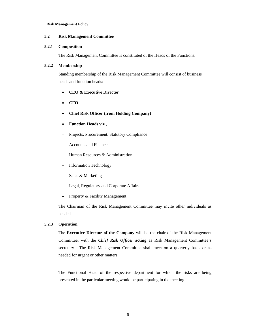### **5.2 Risk Management Committee**

### **5.2.1 Composition**

The Risk Management Committee is constituted of the Heads of the Functions.

## **5.2.2 Membership**

Standing membership of the Risk Management Committee will consist of business heads and function heads:

- **CEO & Executive Director**
- **CFO**
- **Chief Risk Officer (from Holding Company)**
- **Function Heads viz.,**
- Projects, Procurement, Statutory Compliance
- Accounts and Finance
- Human Resources & Administration
- Information Technology
- Sales & Marketing
- Legal, Regulatory and Corporate Affairs
- Property & Facility Management

The Chairman of the Risk Management Committee may invite other individuals as needed.

## **5.2.3 Operation**

The **Executive Director of the Company** will be the chair of the Risk Management Committee, with the *Chief Risk Officer* **acting** as Risk Management Committee's secretary. The Risk Management Committee shall meet on a quarterly basis or as needed for urgent or other matters.

The Functional Head of the respective department for which the risks are being presented in the particular meeting would be participating in the meeting.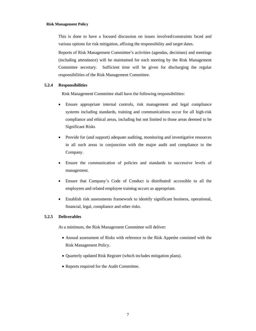This is done to have a focused discussion on issues involved/constraints faced and various options for risk mitigation, affixing the responsibility and target dates.

Reports of Risk Management Committee's activities (agendas, decisions) and meetings (including attendance) will be maintained for each meeting by the Risk Management Committee secretary. Sufficient time will be given for discharging the regular responsibilities of the Risk Management Committee.

## **5.2.4 Responsibilities**

Risk Management Committee shall have the following responsibilities:

- Ensure appropriate internal controls, risk management and legal compliance systems including standards, training and communications occur for all high-risk compliance and ethical areas, including but not limited to those areas deemed to be Significant Risks
- Provide for (and support) adequate auditing, monitoring and investigative resources in all such areas in conjunction with the major audit and compliance in the Company.
- Ensure the communication of policies and standards to successive levels of management.
- Ensure that Company's Code of Conduct is distributed/ accessible to all the employees and related employee training occurs as appropriate.
- Establish risk assessments framework to identify significant business, operational, financial, legal, compliance and other risks.

### **5.2.5 Deliverables**

At a minimum, the Risk Management Committee will deliver:

- Annual assessment of Risks with reference to the Risk Appetite consisted with the Risk Management Policy.
- Quarterly updated Risk Register (which includes mitigation plans).
- Reports required for the Audit Committee.